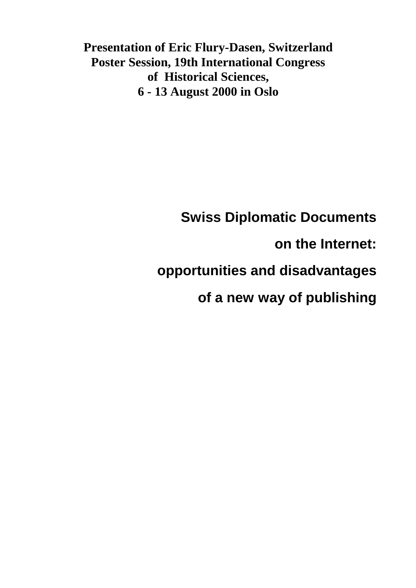**Presentation of Eric Flury-Dasen, Switzerland Poster Session, 19th International Congress of Historical Sciences, 6 - 13 August 2000 in Oslo**

# **Swiss Diplomatic Documents**

**on the Internet:**

## **opportunities and disadvantages**

**of a new way of publishing**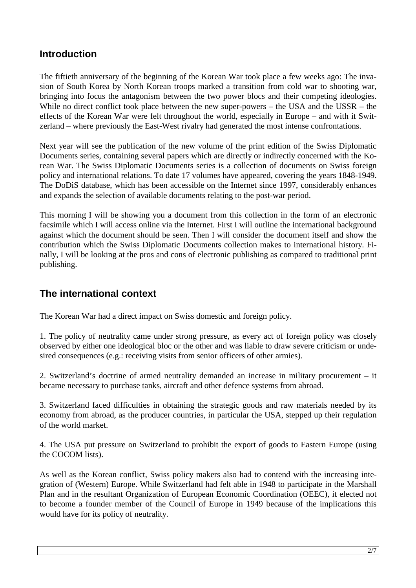### **Introduction**

The fiftieth anniversary of the beginning of the Korean War took place a few weeks ago: The invasion of South Korea by North Korean troops marked a transition from cold war to shooting war, bringing into focus the antagonism between the two power blocs and their competing ideologies. While no direct conflict took place between the new super-powers – the USA and the USSR – the effects of the Korean War were felt throughout the world, especially in Europe – and with it Switzerland – where previously the East-West rivalry had generated the most intense confrontations.

Next year will see the publication of the new volume of the print edition of the Swiss Diplomatic Documents series, containing several papers which are directly or indirectly concerned with the Korean War. The Swiss Diplomatic Documents series is a collection of documents on Swiss foreign policy and international relations. To date 17 volumes have appeared, covering the years 1848-1949. The DoDiS database, which has been accessible on the Internet since 1997, considerably enhances and expands the selection of available documents relating to the post-war period.

This morning I will be showing you a document from this collection in the form of an electronic facsimile which I will access online via the Internet. First I will outline the international background against which the document should be seen. Then I will consider the document itself and show the contribution which the Swiss Diplomatic Documents collection makes to international history. Finally, I will be looking at the pros and cons of electronic publishing as compared to traditional print publishing.

## **The international context**

The Korean War had a direct impact on Swiss domestic and foreign policy.

1. The policy of neutrality came under strong pressure, as every act of foreign policy was closely observed by either one ideological bloc or the other and was liable to draw severe criticism or undesired consequences (e.g.: receiving visits from senior officers of other armies).

2. Switzerland's doctrine of armed neutrality demanded an increase in military procurement – it became necessary to purchase tanks, aircraft and other defence systems from abroad.

3. Switzerland faced difficulties in obtaining the strategic goods and raw materials needed by its economy from abroad, as the producer countries, in particular the USA, stepped up their regulation of the world market.

4. The USA put pressure on Switzerland to prohibit the export of goods to Eastern Europe (using the COCOM lists).

As well as the Korean conflict, Swiss policy makers also had to contend with the increasing integration of (Western) Europe. While Switzerland had felt able in 1948 to participate in the Marshall Plan and in the resultant Organization of European Economic Coordination (OEEC), it elected not to become a founder member of the Council of Europe in 1949 because of the implications this would have for its policy of neutrality.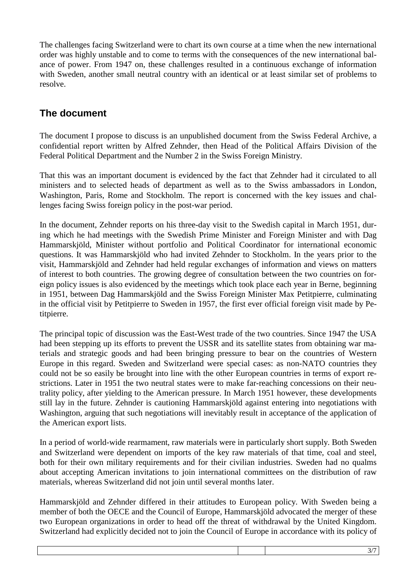The challenges facing Switzerland were to chart its own course at a time when the new international order was highly unstable and to come to terms with the consequences of the new international balance of power. From 1947 on, these challenges resulted in a continuous exchange of information with Sweden, another small neutral country with an identical or at least similar set of problems to resolve.

## **The document**

The document I propose to discuss is an unpublished document from the Swiss Federal Archive, a confidential report written by Alfred Zehnder, then Head of the Political Affairs Division of the Federal Political Department and the Number 2 in the Swiss Foreign Ministry.

That this was an important document is evidenced by the fact that Zehnder had it circulated to all ministers and to selected heads of department as well as to the Swiss ambassadors in London, Washington, Paris, Rome and Stockholm. The report is concerned with the key issues and challenges facing Swiss foreign policy in the post-war period.

In the document, Zehnder reports on his three-day visit to the Swedish capital in March 1951, during which he had meetings with the Swedish Prime Minister and Foreign Minister and with Dag Hammarskjöld, Minister without portfolio and Political Coordinator for international economic questions. It was Hammarskjöld who had invited Zehnder to Stockholm. In the years prior to the visit, Hammarskjöld and Zehnder had held regular exchanges of information and views on matters of interest to both countries. The growing degree of consultation between the two countries on foreign policy issues is also evidenced by the meetings which took place each year in Berne, beginning in 1951, between Dag Hammarskjöld and the Swiss Foreign Minister Max Petitpierre, culminating in the official visit by Petitpierre to Sweden in 1957, the first ever official foreign visit made by Petitpierre.

The principal topic of discussion was the East-West trade of the two countries. Since 1947 the USA had been stepping up its efforts to prevent the USSR and its satellite states from obtaining war materials and strategic goods and had been bringing pressure to bear on the countries of Western Europe in this regard. Sweden and Switzerland were special cases: as non-NATO countries they could not be so easily be brought into line with the other European countries in terms of export restrictions. Later in 1951 the two neutral states were to make far-reaching concessions on their neutrality policy, after yielding to the American pressure. In March 1951 however, these developments still lay in the future. Zehnder is cautioning Hammarskjöld against entering into negotiations with Washington, arguing that such negotiations will inevitably result in acceptance of the application of the American export lists.

In a period of world-wide rearmament, raw materials were in particularly short supply. Both Sweden and Switzerland were dependent on imports of the key raw materials of that time, coal and steel, both for their own military requirements and for their civilian industries. Sweden had no qualms about accepting American invitations to join international committees on the distribution of raw materials, whereas Switzerland did not join until several months later.

Hammarskjöld and Zehnder differed in their attitudes to European policy. With Sweden being a member of both the OECE and the Council of Europe, Hammarskjöld advocated the merger of these two European organizations in order to head off the threat of withdrawal by the United Kingdom. Switzerland had explicitly decided not to join the Council of Europe in accordance with its policy of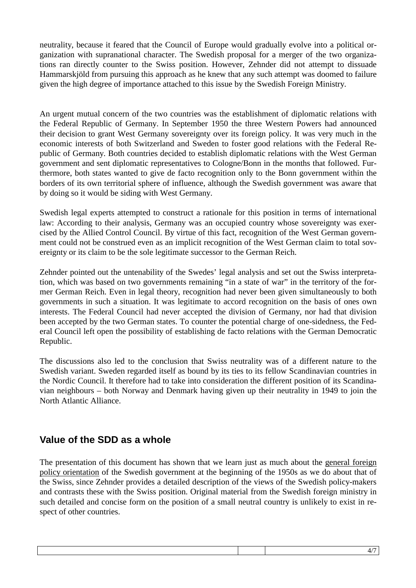neutrality, because it feared that the Council of Europe would gradually evolve into a political organization with supranational character. The Swedish proposal for a merger of the two organizations ran directly counter to the Swiss position. However, Zehnder did not attempt to dissuade Hammarskjöld from pursuing this approach as he knew that any such attempt was doomed to failure given the high degree of importance attached to this issue by the Swedish Foreign Ministry.

An urgent mutual concern of the two countries was the establishment of diplomatic relations with the Federal Republic of Germany. In September 1950 the three Western Powers had announced their decision to grant West Germany sovereignty over its foreign policy. It was very much in the economic interests of both Switzerland and Sweden to foster good relations with the Federal Republic of Germany. Both countries decided to establish diplomatic relations with the West German government and sent diplomatic representatives to Cologne/Bonn in the months that followed. Furthermore, both states wanted to give de facto recognition only to the Bonn government within the borders of its own territorial sphere of influence, although the Swedish government was aware that by doing so it would be siding with West Germany.

Swedish legal experts attempted to construct a rationale for this position in terms of international law: According to their analysis, Germany was an occupied country whose sovereignty was exercised by the Allied Control Council. By virtue of this fact, recognition of the West German government could not be construed even as an implicit recognition of the West German claim to total sovereignty or its claim to be the sole legitimate successor to the German Reich.

Zehnder pointed out the untenability of the Swedes' legal analysis and set out the Swiss interpretation, which was based on two governments remaining "in a state of war" in the territory of the former German Reich. Even in legal theory, recognition had never been given simultaneously to both governments in such a situation. It was legitimate to accord recognition on the basis of ones own interests. The Federal Council had never accepted the division of Germany, nor had that division been accepted by the two German states. To counter the potential charge of one-sidedness, the Federal Council left open the possibility of establishing de facto relations with the German Democratic Republic.

The discussions also led to the conclusion that Swiss neutrality was of a different nature to the Swedish variant. Sweden regarded itself as bound by its ties to its fellow Scandinavian countries in the Nordic Council. It therefore had to take into consideration the different position of its Scandinavian neighbours – both Norway and Denmark having given up their neutrality in 1949 to join the North Atlantic Alliance.

## **Value of the SDD as a whole**

The presentation of this document has shown that we learn just as much about the general foreign policy orientation of the Swedish government at the beginning of the 1950s as we do about that of the Swiss, since Zehnder provides a detailed description of the views of the Swedish policy-makers and contrasts these with the Swiss position. Original material from the Swedish foreign ministry in such detailed and concise form on the position of a small neutral country is unlikely to exist in respect of other countries.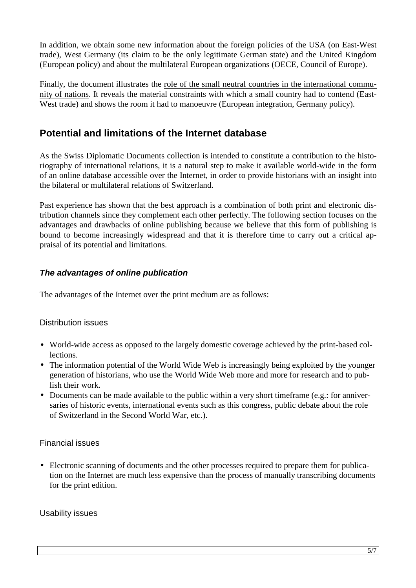In addition, we obtain some new information about the foreign policies of the USA (on East-West trade), West Germany (its claim to be the only legitimate German state) and the United Kingdom (European policy) and about the multilateral European organizations (OECE, Council of Europe).

Finally, the document illustrates the role of the small neutral countries in the international community of nations. It reveals the material constraints with which a small country had to contend (East-West trade) and shows the room it had to manoeuvre (European integration, Germany policy).

## **Potential and limitations of the Internet database**

As the Swiss Diplomatic Documents collection is intended to constitute a contribution to the historiography of international relations, it is a natural step to make it available world-wide in the form of an online database accessible over the Internet, in order to provide historians with an insight into the bilateral or multilateral relations of Switzerland.

Past experience has shown that the best approach is a combination of both print and electronic distribution channels since they complement each other perfectly. The following section focuses on the advantages and drawbacks of online publishing because we believe that this form of publishing is bound to become increasingly widespread and that it is therefore time to carry out a critical appraisal of its potential and limitations.

#### **The advantages of online publication**

The advantages of the Internet over the print medium are as follows:

#### Distribution issues

- World-wide access as opposed to the largely domestic coverage achieved by the print-based collections.
- The information potential of the World Wide Web is increasingly being exploited by the younger generation of historians, who use the World Wide Web more and more for research and to publish their work.
- Documents can be made available to the public within a very short timeframe (e.g.: for anniversaries of historic events, international events such as this congress, public debate about the role of Switzerland in the Second World War, etc.).

#### Financial issues

• Electronic scanning of documents and the other processes required to prepare them for publication on the Internet are much less expensive than the process of manually transcribing documents for the print edition.

#### Usability issues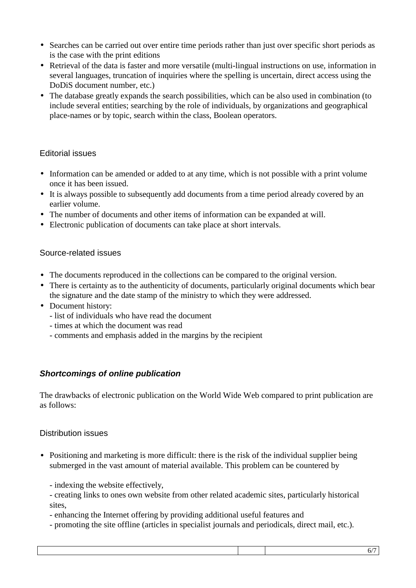- Searches can be carried out over entire time periods rather than just over specific short periods as is the case with the print editions
- Retrieval of the data is faster and more versatile (multi-lingual instructions on use, information in several languages, truncation of inquiries where the spelling is uncertain, direct access using the DoDiS document number, etc.)
- The database greatly expands the search possibilities, which can be also used in combination (to include several entities; searching by the role of individuals, by organizations and geographical place-names or by topic, search within the class, Boolean operators.

#### Editorial issues

- Information can be amended or added to at any time, which is not possible with a print volume once it has been issued.
- It is always possible to subsequently add documents from a time period already covered by an earlier volume.
- The number of documents and other items of information can be expanded at will.
- Electronic publication of documents can take place at short intervals.

#### Source-related issues

- The documents reproduced in the collections can be compared to the original version.
- There is certainty as to the authenticity of documents, particularly original documents which bear the signature and the date stamp of the ministry to which they were addressed.
- Document history:
	- list of individuals who have read the document
	- times at which the document was read
	- comments and emphasis added in the margins by the recipient

#### **Shortcomings of online publication**

The drawbacks of electronic publication on the World Wide Web compared to print publication are as follows:

#### Distribution issues

• Positioning and marketing is more difficult: there is the risk of the individual supplier being submerged in the vast amount of material available. This problem can be countered by

- indexing the website effectively,

- creating links to ones own website from other related academic sites, particularly historical sites,
- enhancing the Internet offering by providing additional useful features and
- promoting the site offline (articles in specialist journals and periodicals, direct mail, etc.).